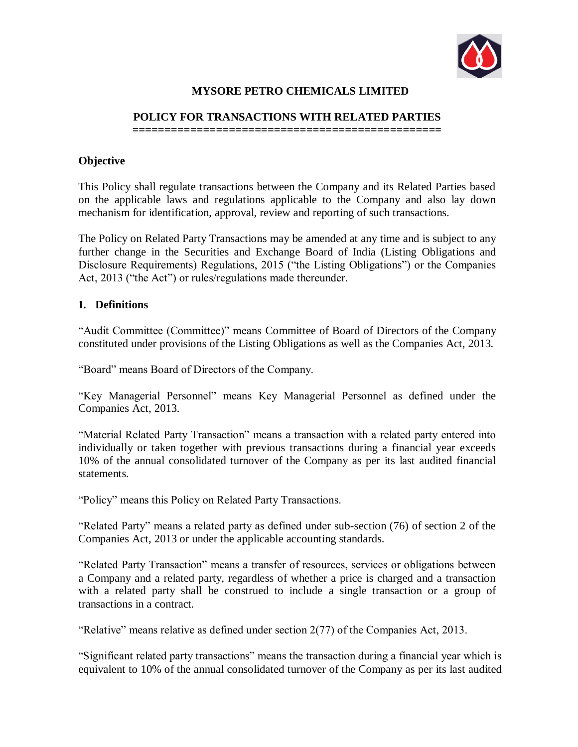

### **MYSORE PETRO CHEMICALS LIMITED**

## **POLICY FOR TRANSACTIONS WITH RELATED PARTIES**

**================================================**

#### **Objective**

This Policy shall regulate transactions between the Company and its Related Parties based on the applicable laws and regulations applicable to the Company and also lay down mechanism for identification, approval, review and reporting of such transactions.

The Policy on Related Party Transactions may be amended at any time and is subject to any further change in the Securities and Exchange Board of India (Listing Obligations and Disclosure Requirements) Regulations, 2015 ("the Listing Obligations") or the Companies Act, 2013 ("the Act") or rules/regulations made thereunder.

### **1. Definitions**

"Audit Committee (Committee)" means Committee of Board of Directors of the Company constituted under provisions of the Listing Obligations as well as the Companies Act, 2013.

"Board" means Board of Directors of the Company.

"Key Managerial Personnel" means Key Managerial Personnel as defined under the Companies Act, 2013.

"Material Related Party Transaction" means a transaction with a related party entered into individually or taken together with previous transactions during a financial year exceeds 10% of the annual consolidated turnover of the Company as per its last audited financial statements.

"Policy" means this Policy on Related Party Transactions.

"Related Party" means a related party as defined under sub-section (76) of section 2 of the Companies Act, 2013 or under the applicable accounting standards.

"Related Party Transaction" means a transfer of resources, services or obligations between a Company and a related party, regardless of whether a price is charged and a transaction with a related party shall be construed to include a single transaction or a group of transactions in a contract.

"Relative" means relative as defined under section 2(77) of the Companies Act, 2013.

"Significant related party transactions" means the transaction during a financial year which is equivalent to 10% of the annual consolidated turnover of the Company as per its last audited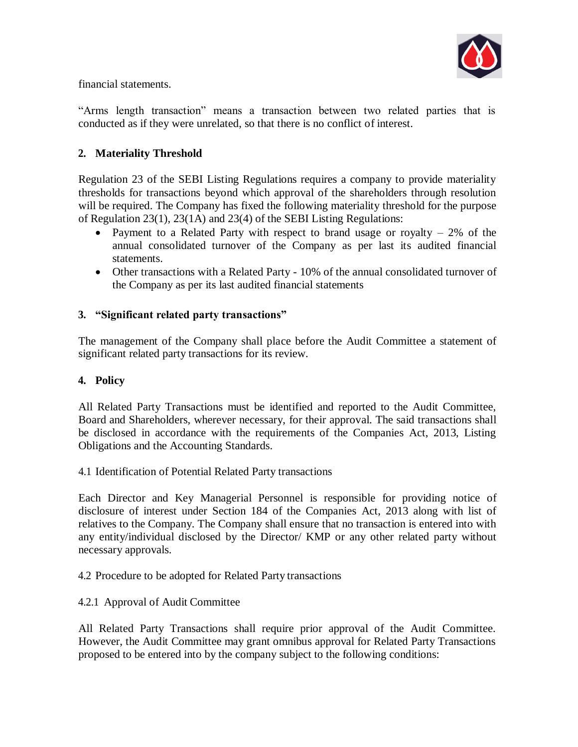

financial statements.

"Arms length transaction" means a transaction between two related parties that is conducted as if they were unrelated, so that there is no conflict of interest.

# **2. Materiality Threshold**

Regulation 23 of the SEBI Listing Regulations requires a company to provide materiality thresholds for transactions beyond which approval of the shareholders through resolution will be required. The Company has fixed the following materiality threshold for the purpose of Regulation 23(1), 23(1A) and 23(4) of the SEBI Listing Regulations:

- Payment to a Related Party with respect to brand usage or royalty  $-2\%$  of the annual consolidated turnover of the Company as per last its audited financial statements.
- Other transactions with a Related Party 10% of the annual consolidated turnover of the Company as per its last audited financial statements

## **3. "Significant related party transactions"**

The management of the Company shall place before the Audit Committee a statement of significant related party transactions for its review.

### **4. Policy**

All Related Party Transactions must be identified and reported to the Audit Committee, Board and Shareholders, wherever necessary, for their approval. The said transactions shall be disclosed in accordance with the requirements of the Companies Act, 2013, Listing Obligations and the Accounting Standards.

### 4.1 Identification of Potential Related Party transactions

Each Director and Key Managerial Personnel is responsible for providing notice of disclosure of interest under Section 184 of the Companies Act, 2013 along with list of relatives to the Company. The Company shall ensure that no transaction is entered into with any entity/individual disclosed by the Director/ KMP or any other related party without necessary approvals.

### 4.2 Procedure to be adopted for Related Party transactions

### 4.2.1 Approval of Audit Committee

All Related Party Transactions shall require prior approval of the Audit Committee. However, the Audit Committee may grant omnibus approval for Related Party Transactions proposed to be entered into by the company subject to the following conditions: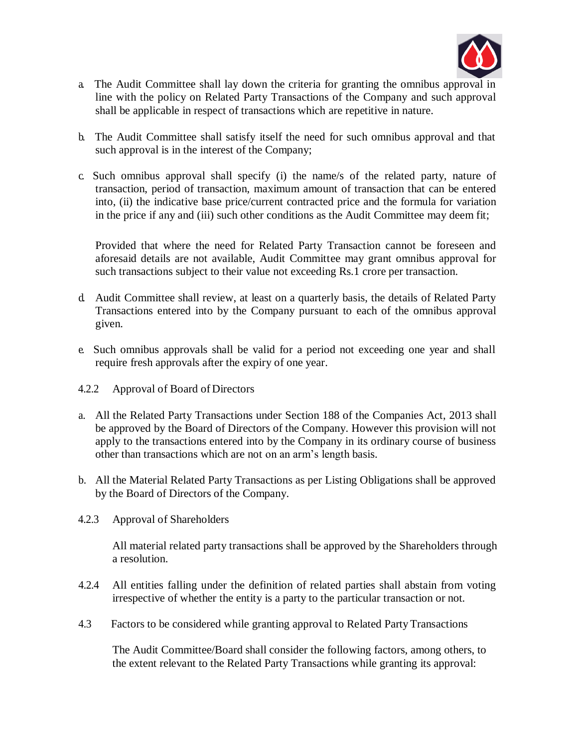

- a. The Audit Committee shall lay down the criteria for granting the omnibus approval in line with the policy on Related Party Transactions of the Company and such approval shall be applicable in respect of transactions which are repetitive in nature.
- b. The Audit Committee shall satisfy itself the need for such omnibus approval and that such approval is in the interest of the Company;
- c. Such omnibus approval shall specify (i) the name/s of the related party, nature of transaction, period of transaction, maximum amount of transaction that can be entered into, (ii) the indicative base price/current contracted price and the formula for variation in the price if any and (iii) such other conditions as the Audit Committee may deem fit;

Provided that where the need for Related Party Transaction cannot be foreseen and aforesaid details are not available, Audit Committee may grant omnibus approval for such transactions subject to their value not exceeding Rs.1 crore per transaction.

- d. Audit Committee shall review, at least on a quarterly basis, the details of Related Party Transactions entered into by the Company pursuant to each of the omnibus approval given.
- e. Such omnibus approvals shall be valid for a period not exceeding one year and shall require fresh approvals after the expiry of one year.
- 4.2.2 Approval of Board of Directors
- a. All the Related Party Transactions under Section 188 of the Companies Act, 2013 shall be approved by the Board of Directors of the Company. However this provision will not apply to the transactions entered into by the Company in its ordinary course of business other than transactions which are not on an arm's length basis.
- b. All the Material Related Party Transactions as per Listing Obligations shall be approved by the Board of Directors of the Company.
- 4.2.3 Approval of Shareholders

All material related party transactions shall be approved by the Shareholders through a resolution.

- 4.2.4 All entities falling under the definition of related parties shall abstain from voting irrespective of whether the entity is a party to the particular transaction or not.
- 4.3 Factors to be considered while granting approval to Related PartyTransactions

The Audit Committee/Board shall consider the following factors, among others, to the extent relevant to the Related Party Transactions while granting its approval: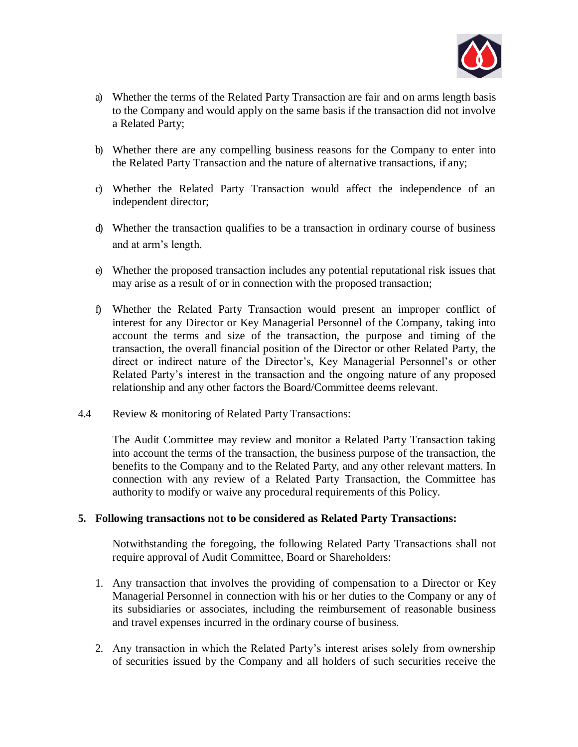

- a) Whether the terms of the Related Party Transaction are fair and on arms length basis to the Company and would apply on the same basis if the transaction did not involve a Related Party;
- b) Whether there are any compelling business reasons for the Company to enter into the Related Party Transaction and the nature of alternative transactions, if any;
- c) Whether the Related Party Transaction would affect the independence of an independent director;
- d) Whether the transaction qualifies to be a transaction in ordinary course of business and at arm's length.
- e) Whether the proposed transaction includes any potential reputational risk issues that may arise as a result of or in connection with the proposed transaction;
- f) Whether the Related Party Transaction would present an improper conflict of interest for any Director or Key Managerial Personnel of the Company, taking into account the terms and size of the transaction, the purpose and timing of the transaction, the overall financial position of the Director or other Related Party, the direct or indirect nature of the Director's, Key Managerial Personnel's or other Related Party's interest in the transaction and the ongoing nature of any proposed relationship and any other factors the Board/Committee deems relevant.
- 4.4 Review & monitoring of Related Party Transactions:

The Audit Committee may review and monitor a Related Party Transaction taking into account the terms of the transaction, the business purpose of the transaction, the benefits to the Company and to the Related Party, and any other relevant matters. In connection with any review of a Related Party Transaction, the Committee has authority to modify or waive any procedural requirements of this Policy.

#### **5. Following transactions not to be considered as Related Party Transactions:**

Notwithstanding the foregoing, the following Related Party Transactions shall not require approval of Audit Committee, Board or Shareholders:

- 1. Any transaction that involves the providing of compensation to a Director or Key Managerial Personnel in connection with his or her duties to the Company or any of its subsidiaries or associates, including the reimbursement of reasonable business and travel expenses incurred in the ordinary course of business.
- 2. Any transaction in which the Related Party's interest arises solely from ownership of securities issued by the Company and all holders of such securities receive the